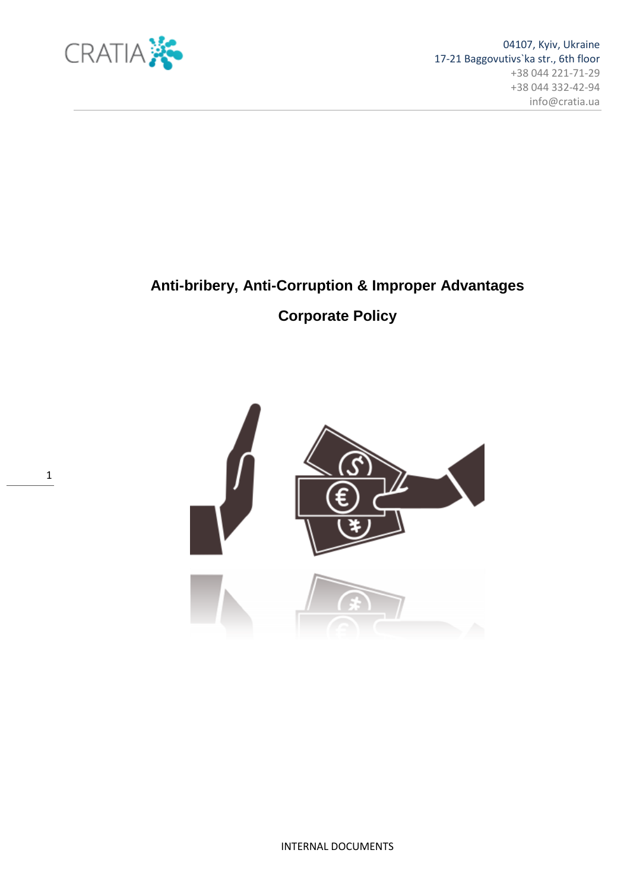

1

# **Anti-bribery, Anti-Corruption & Improper Advantages**

# **Corporate Policy**

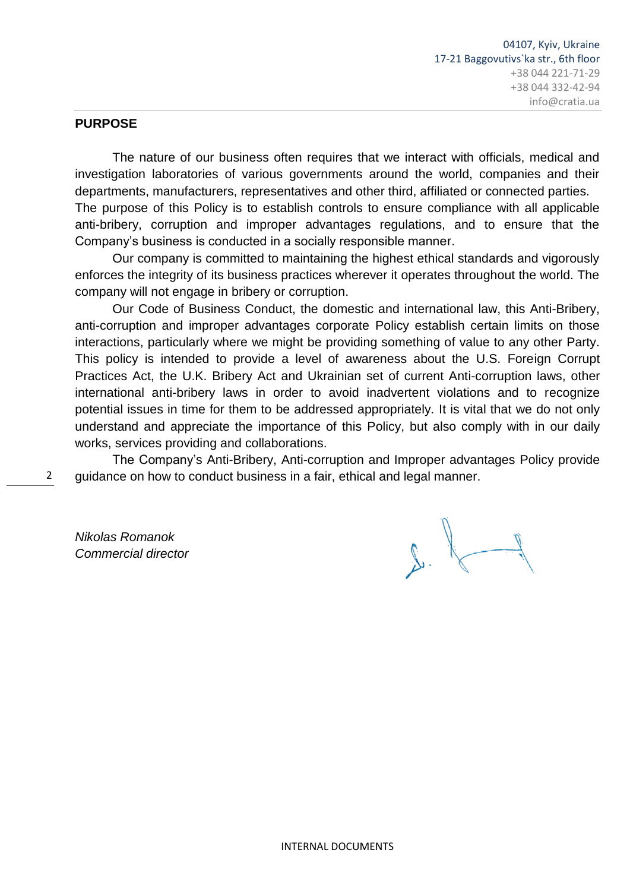#### **PURPOSE**

The nature of our business often requires that we interact with officials, medical and investigation laboratories of various governments around the world, companies and their departments, manufacturers, representatives and other third, affiliated or connected parties. The purpose of this Policy is to establish controls to ensure compliance with all applicable anti-bribery, corruption and improper advantages regulations, and to ensure that the Company"s business is conducted in a socially responsible manner.

Our company is committed to maintaining the highest ethical standards and vigorously enforces the integrity of its business practices wherever it operates throughout the world. The company will not engage in bribery or corruption.

Our Code of Business Conduct, the domestic and international law, this Anti-Bribery, anti-corruption and improper advantages corporate Policy establish certain limits on those interactions, particularly where we might be providing something of value to any other Party. This policy is intended to provide a level of awareness about the U.S. Foreign Corrupt Practices Act, the U.K. Bribery Act and Ukrainian set of current Anti-corruption laws, other international anti-bribery laws in order to avoid inadvertent violations and to recognize potential issues in time for them to be addressed appropriately. It is vital that we do not only understand and appreciate the importance of this Policy, but also comply with in our daily works, services providing and collaborations.

The Company"s Anti-Bribery, Anti-corruption and Improper advantages Policy provide guidance on how to conduct business in a fair, ethical and legal manner.

*Nikolas Romanok Commercial director*

2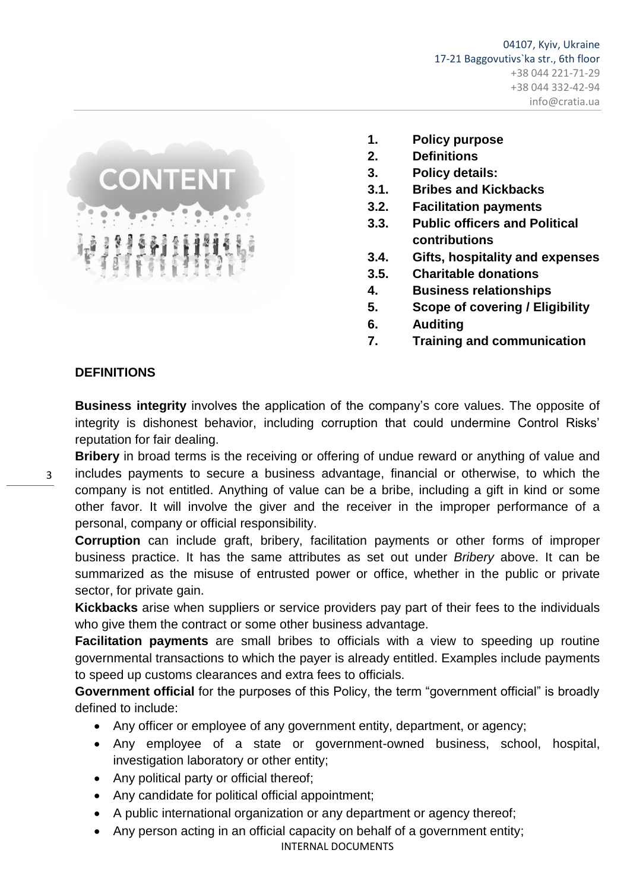

- **1. Policy purpose**
- **2. Definitions**
- **3. Policy details:**
- **3.1. Bribes and Kickbacks**
- **3.2. Facilitation payments**
- **3.3. Public officers and Political contributions**
- **3.4. Gifts, hospitality and expenses**
- **3.5. Charitable donations**
- **4. Business relationships**
- **5. Scope of covering / Eligibility**
- **6. Auditing**
- **7. Training and communication**

#### **DEFINITIONS**

3

**Business integrity** involves the application of the company's core values. The opposite of integrity is dishonest behavior, including corruption that could undermine Control Risks" reputation for fair dealing.

**Bribery** in broad terms is the receiving or offering of undue reward or anything of value and includes payments to secure a business advantage, financial or otherwise, to which the company is not entitled. Anything of value can be a bribe, including a gift in kind or some other favor. It will involve the giver and the receiver in the improper performance of a personal, company or official responsibility.

**Corruption** can include graft, bribery, facilitation payments or other forms of improper business practice. It has the same attributes as set out under *Bribery* above. It can be summarized as the misuse of entrusted power or office, whether in the public or private sector, for private gain.

**Kickbacks** arise when suppliers or service providers pay part of their fees to the individuals who give them the contract or some other business advantage.

**Facilitation payments** are small bribes to officials with a view to speeding up routine governmental transactions to which the payer is already entitled. Examples include payments to speed up customs clearances and extra fees to officials.

**Government official** for the purposes of this Policy, the term "government official" is broadly defined to include:

- Any officer or employee of any government entity, department, or agency;
- Any employee of a state or government-owned business, school, hospital, investigation laboratory or other entity;
- Any political party or official thereof;
- Any candidate for political official appointment;
- A public international organization or any department or agency thereof;
- Any person acting in an official capacity on behalf of a government entity;

INTERNAL DOCUMENTS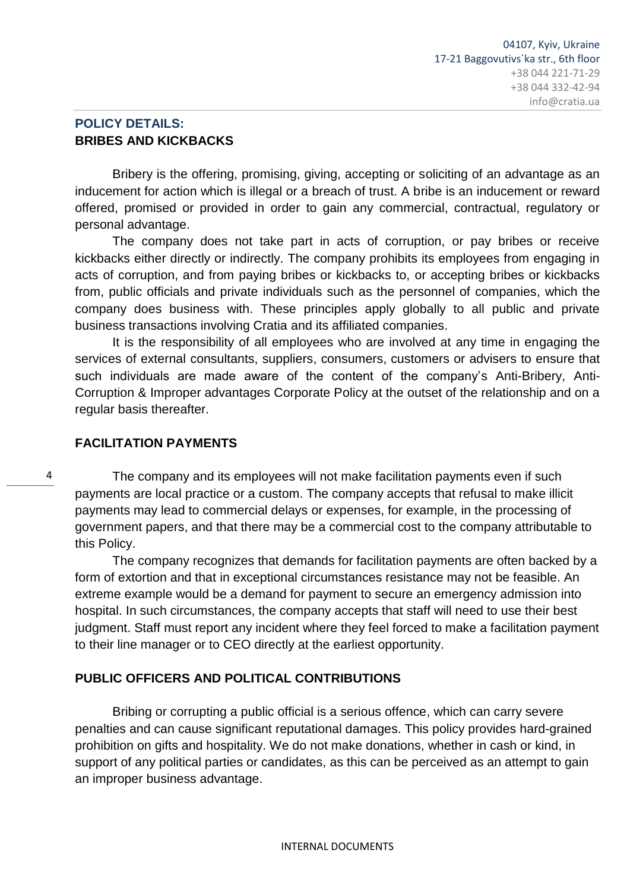# **POLICY DETAILS: BRIBES AND KICKBACKS**

Bribery is the offering, promising, giving, accepting or soliciting of an advantage as an inducement for action which is illegal or a breach of trust. A bribe is an inducement or reward offered, promised or provided in order to gain any commercial, contractual, regulatory or personal advantage.

The company does not take part in acts of corruption, or pay bribes or receive kickbacks either directly or indirectly. The company prohibits its employees from engaging in acts of corruption, and from paying bribes or kickbacks to, or accepting bribes or kickbacks from, public officials and private individuals such as the personnel of companies, which the company does business with. These principles apply globally to all public and private business transactions involving Cratia and its affiliated companies.

It is the responsibility of all employees who are involved at any time in engaging the services of external consultants, suppliers, consumers, customers or advisers to ensure that such individuals are made aware of the content of the company"s Anti-Bribery, Anti-Corruption & Improper advantages Corporate Policy at the outset of the relationship and on a regular basis thereafter.

# **FACILITATION PAYMENTS**

4

The company and its employees will not make facilitation payments even if such payments are local practice or a custom. The company accepts that refusal to make illicit payments may lead to commercial delays or expenses, for example, in the processing of government papers, and that there may be a commercial cost to the company attributable to this Policy.

The company recognizes that demands for facilitation payments are often backed by a form of extortion and that in exceptional circumstances resistance may not be feasible. An extreme example would be a demand for payment to secure an emergency admission into hospital. In such circumstances, the company accepts that staff will need to use their best judgment. Staff must report any incident where they feel forced to make a facilitation payment to their line manager or to CEO directly at the earliest opportunity.

# **PUBLIC OFFICERS AND POLITICAL CONTRIBUTIONS**

Bribing or corrupting a public official is a serious offence, which can carry severe penalties and can cause significant reputational damages. This policy provides hard-grained prohibition on gifts and hospitality. We do not make donations, whether in cash or kind, in support of any political parties or candidates, as this can be perceived as an attempt to gain an improper business advantage.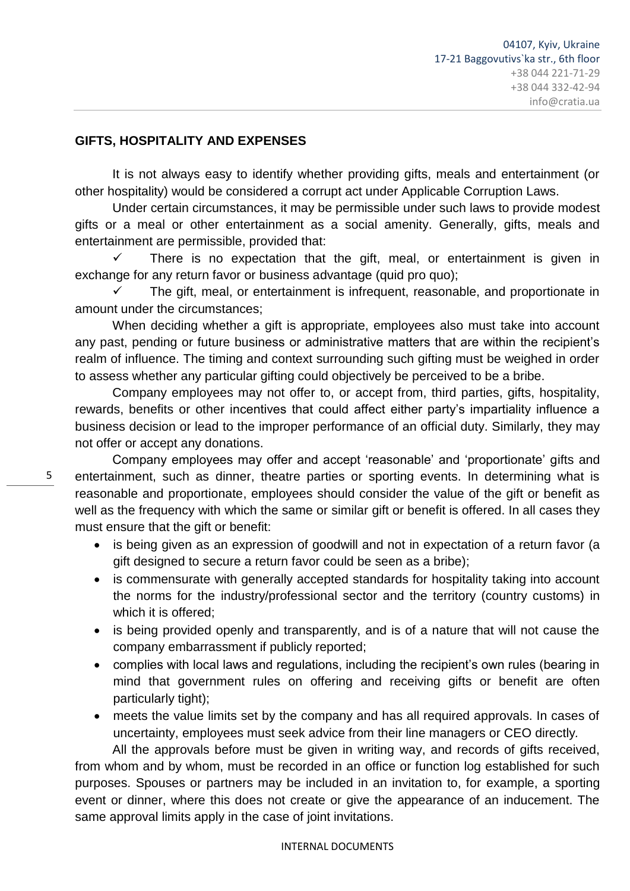#### **GIFTS, HOSPITALITY AND EXPENSES**

It is not always easy to identify whether providing gifts, meals and entertainment (or other hospitality) would be considered a corrupt act under Applicable Corruption Laws.

Under certain circumstances, it may be permissible under such laws to provide modest gifts or a meal or other entertainment as a social amenity. Generally, gifts, meals and entertainment are permissible, provided that:

 There is no expectation that the gift, meal, or entertainment is given in exchange for any return favor or business advantage (quid pro quo):

 The gift, meal, or entertainment is infrequent, reasonable, and proportionate in amount under the circumstances;

When deciding whether a gift is appropriate, employees also must take into account any past, pending or future business or administrative matters that are within the recipient"s realm of influence. The timing and context surrounding such gifting must be weighed in order to assess whether any particular gifting could objectively be perceived to be a bribe.

Company employees may not offer to, or accept from, third parties, gifts, hospitality, rewards, benefits or other incentives that could affect either party's impartiality influence a business decision or lead to the improper performance of an official duty. Similarly, they may not offer or accept any donations.

Company employees may offer and accept "reasonable" and "proportionate" gifts and entertainment, such as dinner, theatre parties or sporting events. In determining what is reasonable and proportionate, employees should consider the value of the gift or benefit as well as the frequency with which the same or similar gift or benefit is offered. In all cases they must ensure that the gift or benefit:

- is being given as an expression of goodwill and not in expectation of a return favor (a gift designed to secure a return favor could be seen as a bribe);
- is commensurate with generally accepted standards for hospitality taking into account the norms for the industry/professional sector and the territory (country customs) in which it is offered;
- is being provided openly and transparently, and is of a nature that will not cause the company embarrassment if publicly reported;
- complies with local laws and regulations, including the recipient's own rules (bearing in mind that government rules on offering and receiving gifts or benefit are often particularly tight);
- meets the value limits set by the company and has all required approvals. In cases of uncertainty, employees must seek advice from their line managers or CEO directly*.*

All the approvals before must be given in writing way, and records of gifts received, from whom and by whom, must be recorded in an office or function log established for such purposes. Spouses or partners may be included in an invitation to, for example, a sporting event or dinner, where this does not create or give the appearance of an inducement. The same approval limits apply in the case of joint invitations.

5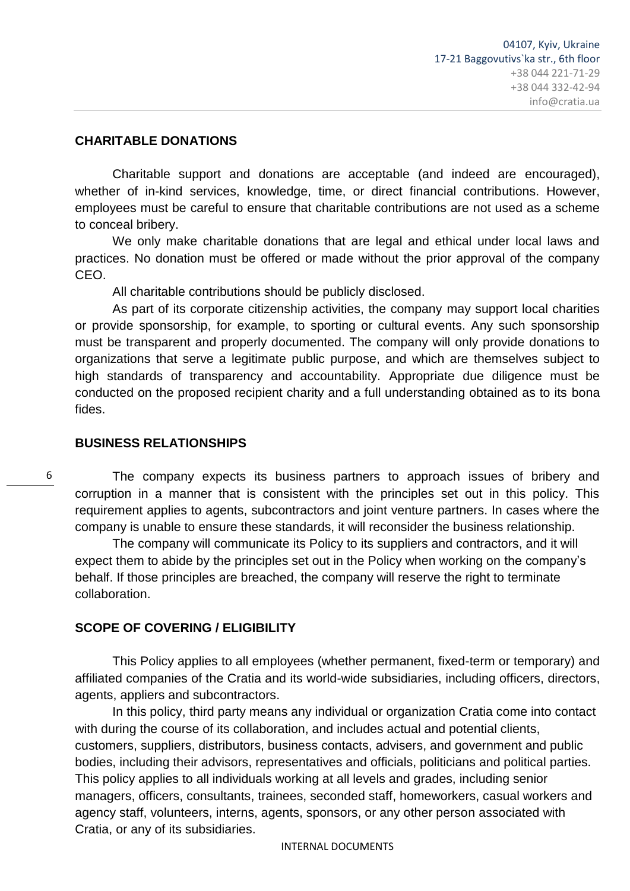#### **CHARITABLE DONATIONS**

Charitable support and donations are acceptable (and indeed are encouraged), whether of in-kind services, knowledge, time, or direct financial contributions. However, employees must be careful to ensure that charitable contributions are not used as a scheme to conceal bribery.

We only make charitable donations that are legal and ethical under local laws and practices. No donation must be offered or made without the prior approval of the company CEO.

All charitable contributions should be publicly disclosed.

As part of its corporate citizenship activities, the company may support local charities or provide sponsorship, for example, to sporting or cultural events. Any such sponsorship must be transparent and properly documented. The company will only provide donations to organizations that serve a legitimate public purpose, and which are themselves subject to high standards of transparency and accountability. Appropriate due diligence must be conducted on the proposed recipient charity and a full understanding obtained as to its bona fides.

#### **BUSINESS RELATIONSHIPS**

6

The company expects its business partners to approach issues of bribery and corruption in a manner that is consistent with the principles set out in this policy. This requirement applies to agents, subcontractors and joint venture partners. In cases where the company is unable to ensure these standards, it will reconsider the business relationship.

The company will communicate its Policy to its suppliers and contractors, and it will expect them to abide by the principles set out in the Policy when working on the company"s behalf. If those principles are breached, the company will reserve the right to terminate collaboration.

#### **SCOPE OF COVERING / ELIGIBILITY**

This Policy applies to all employees (whether permanent, fixed-term or temporary) and affiliated companies of the Cratia and its world-wide subsidiaries, including officers, directors, agents, appliers and subcontractors.

In this policy, third party means any individual or organization Cratia come into contact with during the course of its collaboration, and includes actual and potential clients, customers, suppliers, distributors, business contacts, advisers, and government and public bodies, including their advisors, representatives and officials, politicians and political parties. This policy applies to all individuals working at all levels and grades, including senior managers, officers, consultants, trainees, seconded staff, homeworkers, casual workers and agency staff, volunteers, interns, agents, sponsors, or any other person associated with Cratia, or any of its subsidiaries.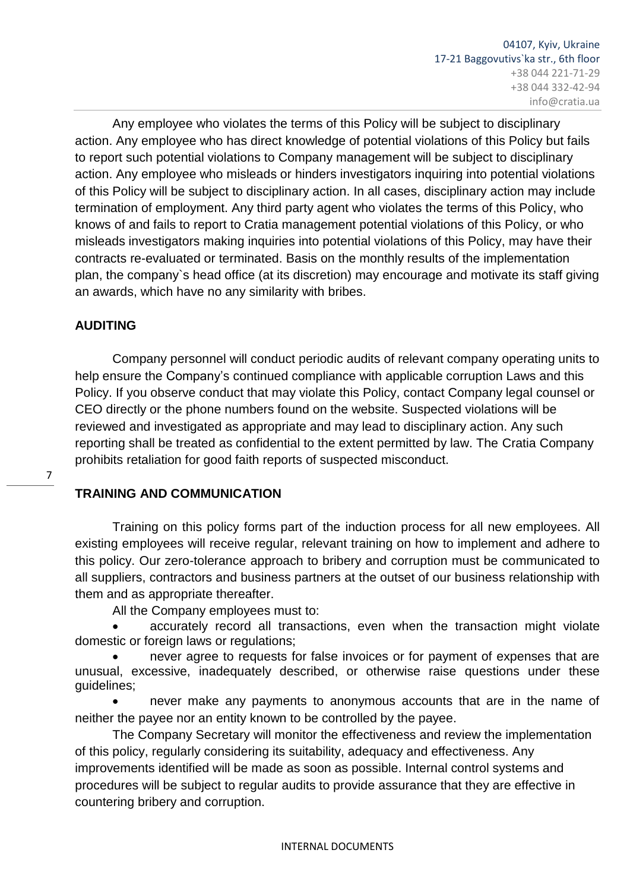Any employee who violates the terms of this Policy will be subject to disciplinary action. Any employee who has direct knowledge of potential violations of this Policy but fails to report such potential violations to Company management will be subject to disciplinary action. Any employee who misleads or hinders investigators inquiring into potential violations of this Policy will be subject to disciplinary action. In all cases, disciplinary action may include termination of employment. Any third party agent who violates the terms of this Policy, who knows of and fails to report to Cratia management potential violations of this Policy, or who misleads investigators making inquiries into potential violations of this Policy, may have their contracts re-evaluated or terminated. Basis on the monthly results of the implementation plan, the company`s head office (at its discretion) may encourage and motivate its staff giving an awards, which have no any similarity with bribes.

#### **AUDITING**

7

Company personnel will conduct periodic audits of relevant company operating units to help ensure the Company's continued compliance with applicable corruption Laws and this Policy. If you observe conduct that may violate this Policy, contact Company legal counsel or CEO directly or the phone numbers found on the website. Suspected violations will be reviewed and investigated as appropriate and may lead to disciplinary action. Any such reporting shall be treated as confidential to the extent permitted by law. The Cratia Company prohibits retaliation for good faith reports of suspected misconduct.

# **TRAINING AND COMMUNICATION**

Training on this policy forms part of the induction process for all new employees. All existing employees will receive regular, relevant training on how to implement and adhere to this policy. Our zero-tolerance approach to bribery and corruption must be communicated to all suppliers, contractors and business partners at the outset of our business relationship with them and as appropriate thereafter.

All the Company employees must to:

 accurately record all transactions, even when the transaction might violate domestic or foreign laws or regulations;

 never agree to requests for false invoices or for payment of expenses that are unusual, excessive, inadequately described, or otherwise raise questions under these guidelines;

 never make any payments to anonymous accounts that are in the name of neither the payee nor an entity known to be controlled by the payee.

The Company Secretary will monitor the effectiveness and review the implementation of this policy, regularly considering its suitability, adequacy and effectiveness. Any improvements identified will be made as soon as possible. Internal control systems and procedures will be subject to regular audits to provide assurance that they are effective in countering bribery and corruption.

INTERNAL DOCUMENTS